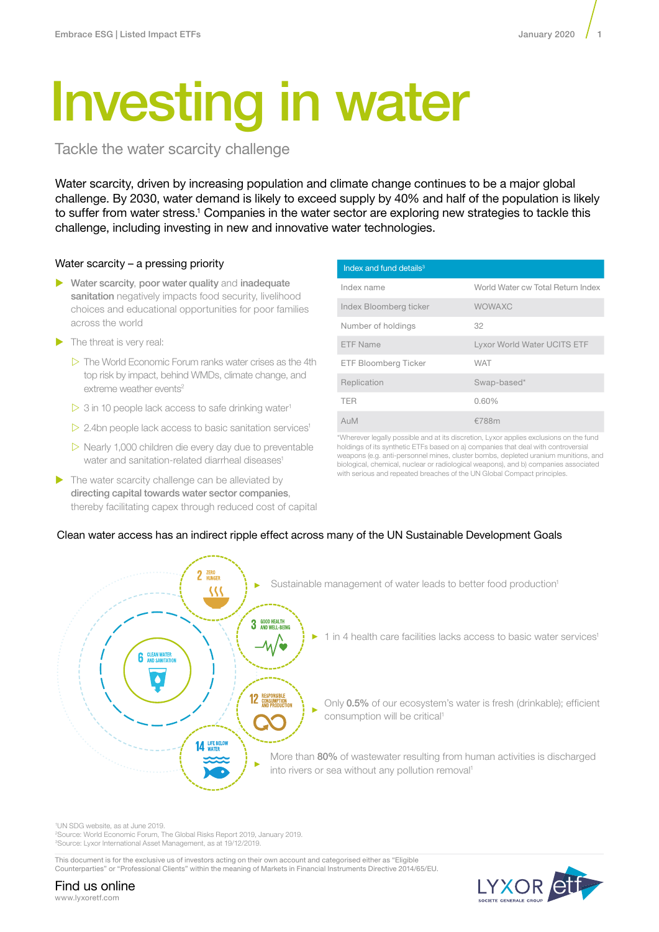# Investing in water

Tackle the water scarcity challenge

Water scarcity, driven by increasing population and climate change continues to be a major global challenge. By 2030, water demand is likely to exceed supply by 40% and half of the population is likely to suffer from water stress.<sup>1</sup> Companies in the water sector are exploring new strategies to tackle this challenge, including investing in new and innovative water technologies.

# Water scarcity – a pressing priority

- $\blacktriangleright$  Water scarcity, poor water quality and inadequate sanitation negatively impacts food security, livelihood choices and educational opportunities for poor families across the world
- $\blacktriangleright$  The threat is very real:
	- $\triangleright$  The World Economic Forum ranks water crises as the 4th top risk by impact, behind WMDs, climate change, and extreme weather events<sup>2</sup>
	- $>$  3 in 10 people lack access to safe drinking water<sup>1</sup>
	- $>$  2.4bn people lack access to basic sanitation services<sup>1</sup>
	- $\triangleright$  Nearly 1,000 children die every day due to preventable water and sanitation-related diarrheal diseases<sup>1</sup>
- $\triangleright$  The water scarcity challenge can be alleviated by directing capital towards water sector companies, thereby facilitating capex through reduced cost of capital

| Index and fund details <sup>3</sup> |                                   |
|-------------------------------------|-----------------------------------|
| Index name                          | World Water cw Total Return Index |
| Index Bloomberg ticker              | <b>WOWAXC</b>                     |
| Number of holdings                  | 32                                |
| <b>ETF Name</b>                     | Lyxor World Water UCITS ETF       |
| ETF Bloomberg Ticker                | <b>WAT</b>                        |
| Replication                         | Swap-based*                       |
| <b>TFR</b>                          | 0.60%                             |
| AuM                                 | €788m                             |

\*Wherever legally possible and at its discretion, Lyxor applies exclusions on the fund holdings of its synthetic ETFs based on a) companies that deal with controversial weapons (e.g. anti-personnel mines, cluster bombs, depleted uranium munitions, and biological, chemical, nuclear or radiological weapons), and b) companies associated with serious and repeated breaches of the UN Global Compact principles.

# Clean water access has an indirect ripple effect across many of the UN Sustainable Development Goals



1 UN SDG website, as at June 2019.

2 Source: World Economic Forum, The Global Risks Report 2019, January 2019. 3 Source: Lyxor International Asset Management, as at 19/12/2019.

This document is for the exclusive us of investors acting on their own account and categorised either as "Eligible Counterparties" or "Professional Clients" within the meaning of Markets in Financial Instruments Directive 2014/65/EU.



Find us online www.lyxoretf.com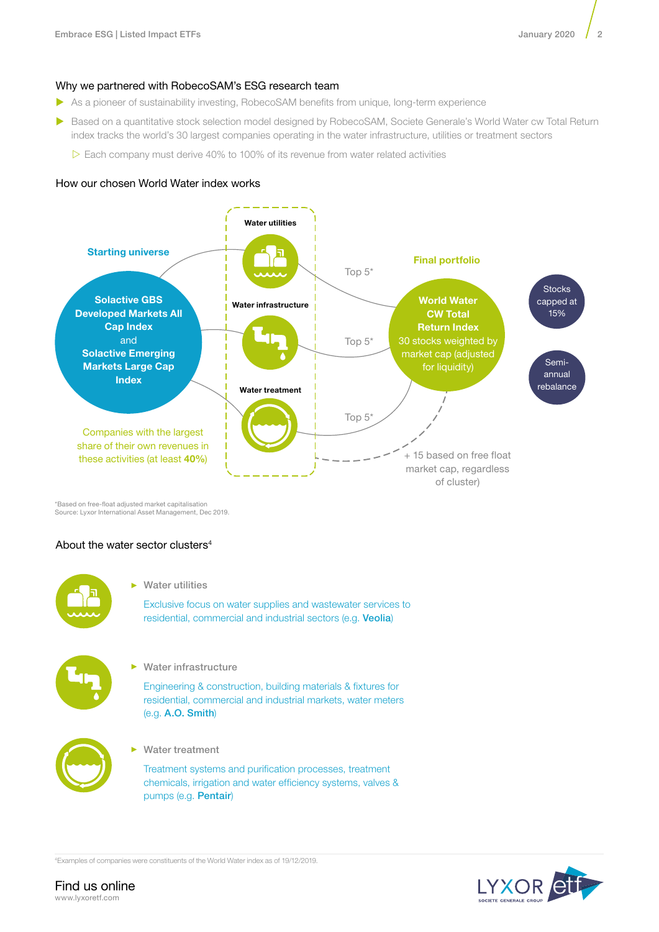# Why we partnered with RobecoSAM's ESG research team

- ▶ As a pioneer of sustainability investing, RobecoSAM benefits from unique, long-term experience
- ▶ Based on a quantitative stock selection model designed by RobecoSAM, Societe Generale's World Water cw Total Return index tracks the world's 30 largest companies operating in the water infrastructure, utilities or treatment sectors
	- $\triangleright$  Each company must derive 40% to 100% of its revenue from water related activities

## How our chosen World Water index works



\*Based on free-float adjusted market capitalisation Source: Lyxor International Asset Management, Dec 2019.

## About the water sector clusters4



Water utilities

Exclusive focus on water supplies and wastewater services to residential, commercial and industrial sectors (e.g. Veolia)



Water infrastructure

Engineering & construction, building materials & fixtures for residential, commercial and industrial markets, water meters (e.g. A.O. Smith)



Water treatment

Treatment systems and purification processes, treatment chemicals, irrigation and water efficiency systems, valves & pumps (e.g. Pentair)

4 Examples of companies were constituents of the World Water index as of 19/12/2019.

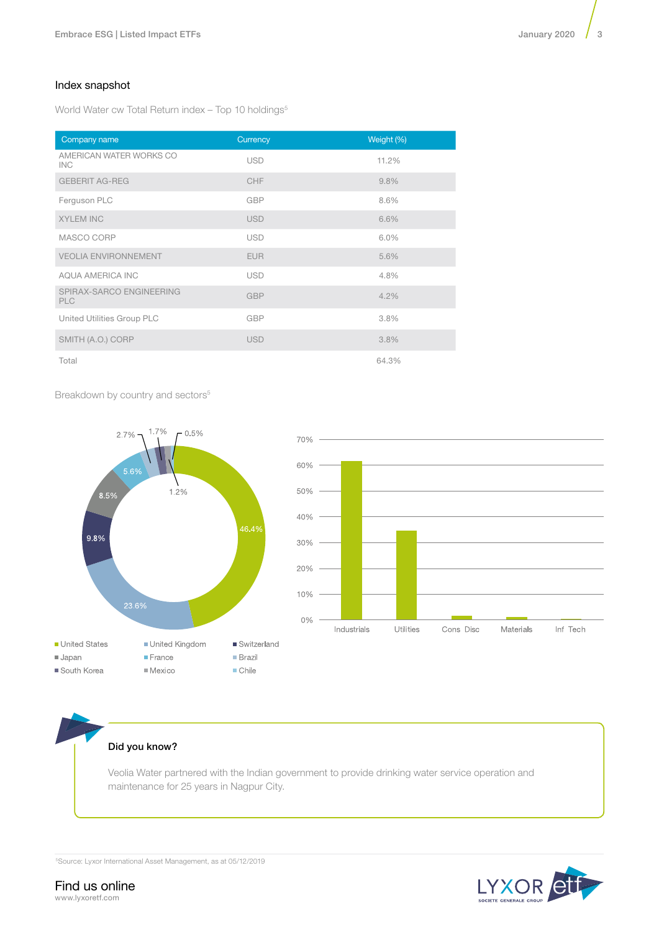# Index snapshot

World Water cw Total Return index - Top 10 holdings<sup>5</sup>

| Company name                           | Currency   | Weight (%) |
|----------------------------------------|------------|------------|
| AMERICAN WATER WORKS CO<br>INC.        | <b>USD</b> | 11.2%      |
| <b>GEBERIT AG-REG</b>                  | CHF        | 9.8%       |
| Ferguson PLC                           | GBP        | 8.6%       |
| <b>XYLEM INC</b>                       | <b>USD</b> | 6.6%       |
| MASCO CORP                             | <b>USD</b> | 6.0%       |
| <b>VEOLIA ENVIRONNEMENT</b>            | <b>EUR</b> | 5.6%       |
| AQUA AMERICA INC                       | <b>USD</b> | 4.8%       |
| SPIRAX-SARCO ENGINEERING<br><b>PLC</b> | <b>GBP</b> | 4.2%       |
| United Utilities Group PLC             | <b>GBP</b> | 3.8%       |
| SMITH (A.O.) CORP                      | <b>USD</b> | 3.8%       |
| Total                                  |            | 64.3%      |

Breakdown by country and sectors<sup>5</sup>





# Did you know?

Veolia Water partnered with the Indian government to provide drinking water service operation and maintenance for 25 years in Nagpur City.

5Source: Lyxor International Asset Management, as at 05/12/2019